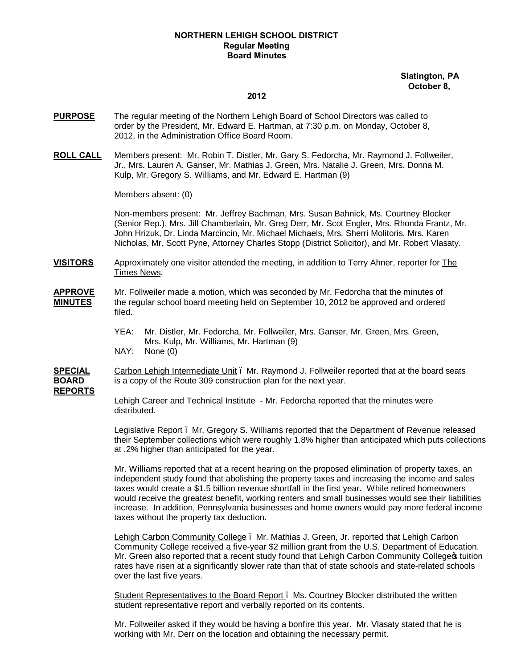# **NORTHERN LEHIGH SCHOOL DISTRICT Regular Meeting Board Minutes**

## **Slatington, PA October 8,**

#### **2012**

- **PURPOSE** The regular meeting of the Northern Lehigh Board of School Directors was called to order by the President, Mr. Edward E. Hartman, at 7:30 p.m. on Monday, October 8, 2012, in the Administration Office Board Room.
- **ROLL CALL** Members present: Mr. Robin T. Distler, Mr. Gary S. Fedorcha, Mr. Raymond J. Follweiler, Jr., Mrs. Lauren A. Ganser, Mr. Mathias J. Green, Mrs. Natalie J. Green, Mrs. Donna M. Kulp, Mr. Gregory S. Williams, and Mr. Edward E. Hartman (9)

Members absent: (0)

Non-members present: Mr. Jeffrey Bachman, Mrs. Susan Bahnick, Ms. Courtney Blocker (Senior Rep.), Mrs. Jill Chamberlain, Mr. Greg Derr, Mr. Scot Engler, Mrs. Rhonda Frantz, Mr. John Hrizuk, Dr. Linda Marcincin, Mr. Michael Michaels, Mrs. Sherri Molitoris, Mrs. Karen Nicholas, Mr. Scott Pyne, Attorney Charles Stopp (District Solicitor), and Mr. Robert Vlasaty.

**VISITORS** Approximately one visitor attended the meeting, in addition to Terry Ahner, reporter for The Times News.

## **APPROVE** Mr. Follweiler made a motion, which was seconded by Mr. Fedorcha that the minutes of **MINUTES** the regular school board meeting held on September 10, 2012 be approved and ordered filed.

YEA: Mr. Distler, Mr. Fedorcha, Mr. Follweiler, Mrs. Ganser, Mr. Green, Mrs. Green, Mrs. Kulp, Mr. Williams, Mr. Hartman (9) NAY: None (0)

**SPECIAL** Carbon Lehigh Intermediate Unit . Mr. Raymond J. Follweiler reported that at the board seats **BOARD** is a copy of the Route 309 construction plan for the next year. **REPORTS**

> Lehigh Career and Technical Institute - Mr. Fedorcha reported that the minutes were distributed.

Legislative Report – Mr. Gregory S. Williams reported that the Department of Revenue released their September collections which were roughly 1.8% higher than anticipated which puts collections at .2% higher than anticipated for the year.

Mr. Williams reported that at a recent hearing on the proposed elimination of property taxes, an independent study found that abolishing the property taxes and increasing the income and sales taxes would create a \$1.5 billion revenue shortfall in the first year. While retired homeowners would receive the greatest benefit, working renters and small businesses would see their liabilities increase. In addition, Pennsylvania businesses and home owners would pay more federal income taxes without the property tax deduction.

Lehigh Carbon Community College – Mr. Mathias J. Green, Jr. reported that Lehigh Carbon Community College received a five-year \$2 million grant from the U.S. Department of Education. Mr. Green also reported that a recent study found that Lehigh Carbon Community College optition rates have risen at a significantly slower rate than that of state schools and state-related schools over the last five years.

Student Representatives to the Board Report – Ms. Courtney Blocker distributed the written student representative report and verbally reported on its contents.

Mr. Follweiler asked if they would be having a bonfire this year. Mr. Vlasaty stated that he is working with Mr. Derr on the location and obtaining the necessary permit.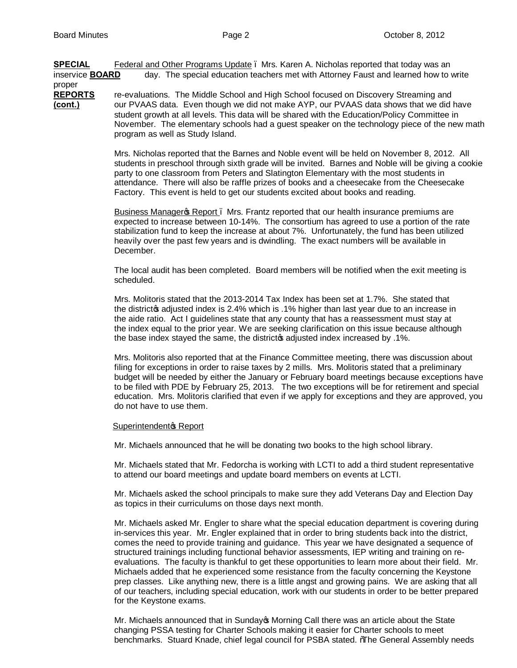**SPECIAL** Federal and Other Programs Update . Mrs. Karen A. Nicholas reported that today was an inservice **BOARD** day. The special education teachers met with Attorney Faust and learned how to write

proper **REPORTS** re-evaluations. The Middle School and High School focused on Discovery Streaming and **(cont.)** our PVAAS data. Even though we did not make AYP, our PVAAS data shows that we did have student growth at all levels. This data will be shared with the Education/Policy Committee in November. The elementary schools had a guest speaker on the technology piece of the new math program as well as Study Island.

> Mrs. Nicholas reported that the Barnes and Noble event will be held on November 8, 2012. All students in preschool through sixth grade will be invited. Barnes and Noble will be giving a cookie party to one classroom from Peters and Slatington Elementary with the most students in attendance. There will also be raffle prizes of books and a cheesecake from the Cheesecake Factory. This event is held to get our students excited about books and reading.

Business Manager & Report . Mrs. Frantz reported that our health insurance premiums are expected to increase between 10-14%. The consortium has agreed to use a portion of the rate stabilization fund to keep the increase at about 7%. Unfortunately, the fund has been utilized heavily over the past few years and is dwindling. The exact numbers will be available in December.

The local audit has been completed. Board members will be notified when the exit meeting is scheduled.

Mrs. Molitoris stated that the 2013-2014 Tax Index has been set at 1.7%. She stated that the district as adjusted index is 2.4% which is .1% higher than last year due to an increase in the aide ratio. Act I guidelines state that any county that has a reassessment must stay at the index equal to the prior year. We are seeking clarification on this issue because although the base index stayed the same, the district adjusted index increased by .1%.

Mrs. Molitoris also reported that at the Finance Committee meeting, there was discussion about filing for exceptions in order to raise taxes by 2 mills. Mrs. Molitoris stated that a preliminary budget will be needed by either the January or February board meetings because exceptions have to be filed with PDE by February 25, 2013. The two exceptions will be for retirement and special education. Mrs. Molitoris clarified that even if we apply for exceptions and they are approved, you do not have to use them.

## Superintendent<sup>®</sup> Report

Mr. Michaels announced that he will be donating two books to the high school library.

Mr. Michaels stated that Mr. Fedorcha is working with LCTI to add a third student representative to attend our board meetings and update board members on events at LCTI.

Mr. Michaels asked the school principals to make sure they add Veterans Day and Election Day as topics in their curriculums on those days next month.

Mr. Michaels asked Mr. Engler to share what the special education department is covering during in-services this year. Mr. Engler explained that in order to bring students back into the district, comes the need to provide training and guidance. This year we have designated a sequence of structured trainings including functional behavior assessments, IEP writing and training on reevaluations. The faculty is thankful to get these opportunities to learn more about their field. Mr. Michaels added that he experienced some resistance from the faculty concerning the Keystone prep classes. Like anything new, there is a little angst and growing pains. We are asking that all of our teachers, including special education, work with our students in order to be better prepared for the Keystone exams.

Mr. Michaels announced that in Sunday's Morning Call there was an article about the State changing PSSA testing for Charter Schools making it easier for Charter schools to meet benchmarks. Stuard Knade, chief legal council for PSBA stated. "The General Assembly needs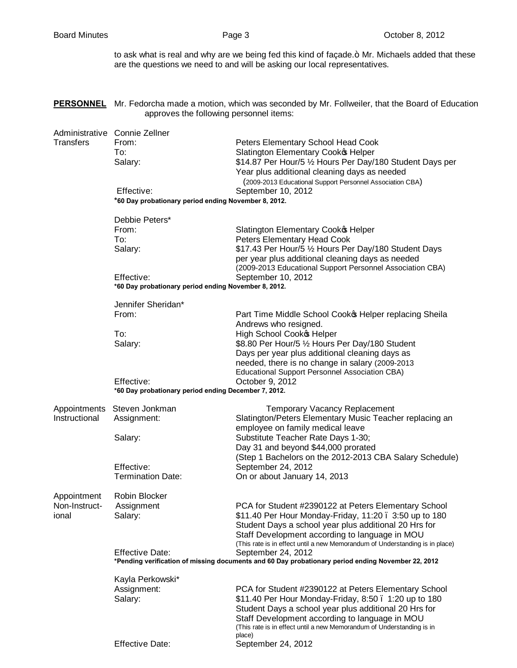to ask what is real and why are we being fed this kind of façade.+ Mr. Michaels added that these are the questions we need to and will be asking our local representatives.

**PERSONNEL** Mr. Fedorcha made a motion, which was seconded by Mr. Follweiler, that the Board of Education approves the following personnel items:

|                  | Administrative Connie Zellner                                                                      |                                                                                 |  |  |  |  |  |
|------------------|----------------------------------------------------------------------------------------------------|---------------------------------------------------------------------------------|--|--|--|--|--|
| <b>Transfers</b> | From:                                                                                              | Peters Elementary School Head Cook                                              |  |  |  |  |  |
|                  | To:                                                                                                | Slatington Elementary Cooko Helper                                              |  |  |  |  |  |
|                  | Salary:                                                                                            | \$14.87 Per Hour/5 1/2 Hours Per Day/180 Student Days per                       |  |  |  |  |  |
|                  |                                                                                                    | Year plus additional cleaning days as needed                                    |  |  |  |  |  |
|                  |                                                                                                    | (2009-2013 Educational Support Personnel Association CBA)                       |  |  |  |  |  |
|                  | Effective:                                                                                         | September 10, 2012                                                              |  |  |  |  |  |
|                  |                                                                                                    | *60 Day probationary period ending November 8, 2012.                            |  |  |  |  |  |
|                  | Debbie Peters*                                                                                     |                                                                                 |  |  |  |  |  |
|                  | From:                                                                                              | Slatington Elementary Cook & Helper                                             |  |  |  |  |  |
|                  | To:                                                                                                | Peters Elementary Head Cook                                                     |  |  |  |  |  |
|                  | Salary:                                                                                            | \$17.43 Per Hour/5 1/2 Hours Per Day/180 Student Days                           |  |  |  |  |  |
|                  |                                                                                                    | per year plus additional cleaning days as needed                                |  |  |  |  |  |
|                  |                                                                                                    | (2009-2013 Educational Support Personnel Association CBA)                       |  |  |  |  |  |
|                  | Effective:                                                                                         | September 10, 2012                                                              |  |  |  |  |  |
|                  | *60 Day probationary period ending November 8, 2012.                                               |                                                                                 |  |  |  |  |  |
|                  | Jennifer Sheridan*                                                                                 |                                                                                 |  |  |  |  |  |
|                  | From:                                                                                              | Part Time Middle School Cooko Helper replacing Sheila                           |  |  |  |  |  |
|                  |                                                                                                    | Andrews who resigned.                                                           |  |  |  |  |  |
|                  | To:                                                                                                | High School Cooko Helper                                                        |  |  |  |  |  |
|                  | Salary:                                                                                            | \$8.80 Per Hour/5 1/2 Hours Per Day/180 Student                                 |  |  |  |  |  |
|                  |                                                                                                    | Days per year plus additional cleaning days as                                  |  |  |  |  |  |
|                  |                                                                                                    | needed, there is no change in salary (2009-2013                                 |  |  |  |  |  |
|                  |                                                                                                    | Educational Support Personnel Association CBA)                                  |  |  |  |  |  |
|                  | Effective:                                                                                         | October 9, 2012                                                                 |  |  |  |  |  |
|                  | *60 Day probationary period ending December 7, 2012.                                               |                                                                                 |  |  |  |  |  |
| Appointments     | Steven Jonkman                                                                                     | Temporary Vacancy Replacement                                                   |  |  |  |  |  |
| Instructional    | Assignment:                                                                                        | Slatington/Peters Elementary Music Teacher replacing an                         |  |  |  |  |  |
|                  |                                                                                                    | employee on family medical leave                                                |  |  |  |  |  |
|                  | Salary:                                                                                            | Substitute Teacher Rate Days 1-30;                                              |  |  |  |  |  |
|                  |                                                                                                    | Day 31 and beyond \$44,000 prorated                                             |  |  |  |  |  |
|                  |                                                                                                    | (Step 1 Bachelors on the 2012-2013 CBA Salary Schedule)                         |  |  |  |  |  |
|                  | Effective:                                                                                         | September 24, 2012                                                              |  |  |  |  |  |
|                  | <b>Termination Date:</b>                                                                           | On or about January 14, 2013                                                    |  |  |  |  |  |
| Appointment      | Robin Blocker                                                                                      |                                                                                 |  |  |  |  |  |
| Non-Instruct-    | Assignment                                                                                         | PCA for Student #2390122 at Peters Elementary School                            |  |  |  |  |  |
| ional            | Salary:                                                                                            | \$11.40 Per Hour Monday-Friday, 11:20. 3:50 up to 180                           |  |  |  |  |  |
|                  |                                                                                                    | Student Days a school year plus additional 20 Hrs for                           |  |  |  |  |  |
|                  |                                                                                                    | Staff Development according to language in MOU                                  |  |  |  |  |  |
|                  |                                                                                                    | (This rate is in effect until a new Memorandum of Understanding is in place)    |  |  |  |  |  |
|                  | <b>Effective Date:</b>                                                                             | September 24, 2012                                                              |  |  |  |  |  |
|                  | *Pending verification of missing documents and 60 Day probationary period ending November 22, 2012 |                                                                                 |  |  |  |  |  |
|                  | Kayla Perkowski*                                                                                   |                                                                                 |  |  |  |  |  |
|                  | Assignment:                                                                                        | PCA for Student #2390122 at Peters Elementary School                            |  |  |  |  |  |
|                  | Salary:                                                                                            | \$11.40 Per Hour Monday-Friday, 8:50 . 1:20 up to 180                           |  |  |  |  |  |
|                  |                                                                                                    | Student Days a school year plus additional 20 Hrs for                           |  |  |  |  |  |
|                  |                                                                                                    | Staff Development according to language in MOU                                  |  |  |  |  |  |
|                  |                                                                                                    | (This rate is in effect until a new Memorandum of Understanding is in<br>place) |  |  |  |  |  |
|                  | <b>Effective Date:</b>                                                                             | September 24, 2012                                                              |  |  |  |  |  |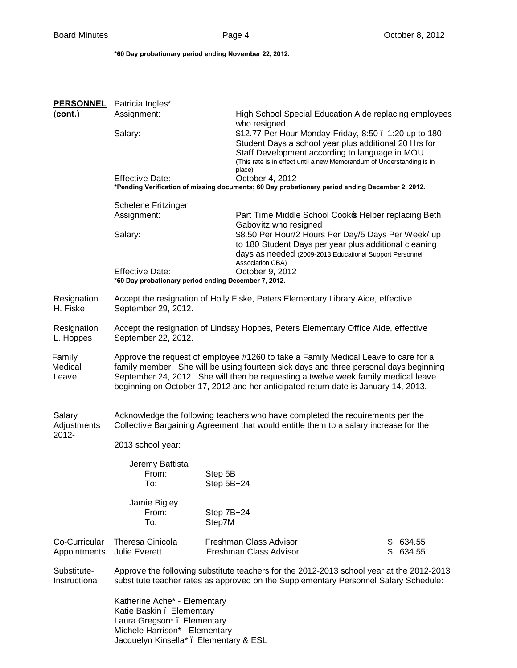**\*60 Day probationary period ending November 22, 2012.**

| <b>PERSONNEL</b>  | Patricia Ingles*                                                                                                                                                            |                       |                                                                                                                                                                                              |    |           |  |
|-------------------|-----------------------------------------------------------------------------------------------------------------------------------------------------------------------------|-----------------------|----------------------------------------------------------------------------------------------------------------------------------------------------------------------------------------------|----|-----------|--|
| (cont.)           | Assignment:                                                                                                                                                                 |                       | High School Special Education Aide replacing employees                                                                                                                                       |    |           |  |
|                   | Salary:                                                                                                                                                                     |                       | who resigned.                                                                                                                                                                                |    |           |  |
|                   |                                                                                                                                                                             |                       | \$12.77 Per Hour Monday-Friday, 8:50 . 1:20 up to 180<br>Student Days a school year plus additional 20 Hrs for                                                                               |    |           |  |
|                   |                                                                                                                                                                             |                       | Staff Development according to language in MOU                                                                                                                                               |    |           |  |
|                   |                                                                                                                                                                             |                       | (This rate is in effect until a new Memorandum of Understanding is in<br>place)                                                                                                              |    |           |  |
|                   | <b>Effective Date:</b>                                                                                                                                                      |                       | October 4, 2012                                                                                                                                                                              |    |           |  |
|                   | *Pending Verification of missing documents; 60 Day probationary period ending December 2, 2012.                                                                             |                       |                                                                                                                                                                                              |    |           |  |
|                   | <b>Schelene Fritzinger</b>                                                                                                                                                  |                       |                                                                                                                                                                                              |    |           |  |
|                   | Assignment:                                                                                                                                                                 |                       | Part Time Middle School Cooko Helper replacing Beth<br>Gabovitz who resigned<br>\$8.50 Per Hour/2 Hours Per Day/5 Days Per Week/ up<br>to 180 Student Days per year plus additional cleaning |    |           |  |
|                   | Salary:                                                                                                                                                                     |                       |                                                                                                                                                                                              |    |           |  |
|                   |                                                                                                                                                                             |                       |                                                                                                                                                                                              |    |           |  |
|                   |                                                                                                                                                                             |                       | days as needed (2009-2013 Educational Support Personnel                                                                                                                                      |    |           |  |
|                   | <b>Effective Date:</b>                                                                                                                                                      |                       | Association CBA)<br>October 9, 2012                                                                                                                                                          |    |           |  |
|                   | *60 Day probationary period ending December 7, 2012.                                                                                                                        |                       |                                                                                                                                                                                              |    |           |  |
| Resignation       | Accept the resignation of Holly Fiske, Peters Elementary Library Aide, effective                                                                                            |                       |                                                                                                                                                                                              |    |           |  |
| H. Fiske          | September 29, 2012.                                                                                                                                                         |                       |                                                                                                                                                                                              |    |           |  |
| Resignation       |                                                                                                                                                                             |                       |                                                                                                                                                                                              |    |           |  |
| L. Hoppes         | Accept the resignation of Lindsay Hoppes, Peters Elementary Office Aide, effective<br>September 22, 2012.                                                                   |                       |                                                                                                                                                                                              |    |           |  |
|                   |                                                                                                                                                                             |                       |                                                                                                                                                                                              |    |           |  |
| Family<br>Medical | Approve the request of employee #1260 to take a Family Medical Leave to care for a<br>family member. She will be using fourteen sick days and three personal days beginning |                       |                                                                                                                                                                                              |    |           |  |
| Leave             | September 24, 2012. She will then be requesting a twelve week family medical leave                                                                                          |                       |                                                                                                                                                                                              |    |           |  |
|                   | beginning on October 17, 2012 and her anticipated return date is January 14, 2013.                                                                                          |                       |                                                                                                                                                                                              |    |           |  |
|                   |                                                                                                                                                                             |                       |                                                                                                                                                                                              |    |           |  |
| Salary            | Acknowledge the following teachers who have completed the requirements per the                                                                                              |                       |                                                                                                                                                                                              |    |           |  |
| Adjustments       | Collective Bargaining Agreement that would entitle them to a salary increase for the                                                                                        |                       |                                                                                                                                                                                              |    |           |  |
| 2012-             | 2013 school year:                                                                                                                                                           |                       |                                                                                                                                                                                              |    |           |  |
|                   |                                                                                                                                                                             |                       |                                                                                                                                                                                              |    |           |  |
|                   | Jeremy Battista                                                                                                                                                             |                       |                                                                                                                                                                                              |    |           |  |
|                   | From:<br>To:                                                                                                                                                                | Step 5B<br>Step 5B+24 |                                                                                                                                                                                              |    |           |  |
|                   |                                                                                                                                                                             |                       |                                                                                                                                                                                              |    |           |  |
|                   | Jamie Bigley                                                                                                                                                                |                       |                                                                                                                                                                                              |    |           |  |
|                   | From:<br>To:                                                                                                                                                                | Step 7B+24<br>Step7M  |                                                                                                                                                                                              |    |           |  |
|                   |                                                                                                                                                                             |                       |                                                                                                                                                                                              |    |           |  |
| Co-Curricular     | <b>Theresa Cinicola</b>                                                                                                                                                     |                       | Freshman Class Advisor                                                                                                                                                                       | \$ | 634.55    |  |
| Appointments      | <b>Julie Everett</b>                                                                                                                                                        |                       | Freshman Class Advisor                                                                                                                                                                       |    | \$ 634.55 |  |
| Substitute-       | Approve the following substitute teachers for the 2012-2013 school year at the 2012-2013                                                                                    |                       |                                                                                                                                                                                              |    |           |  |
| Instructional     | substitute teacher rates as approved on the Supplementary Personnel Salary Schedule:                                                                                        |                       |                                                                                                                                                                                              |    |           |  |
|                   | Katherine Ache* - Elementary                                                                                                                                                |                       |                                                                                                                                                                                              |    |           |  |
|                   | Katie Baskin. Elementary                                                                                                                                                    |                       |                                                                                                                                                                                              |    |           |  |
|                   | Laura Gregson* . Elementary                                                                                                                                                 |                       |                                                                                                                                                                                              |    |           |  |
|                   | Michele Harrison* - Elementary<br>Jacquelyn Kinsella* . Elementary & ESL                                                                                                    |                       |                                                                                                                                                                                              |    |           |  |
|                   |                                                                                                                                                                             |                       |                                                                                                                                                                                              |    |           |  |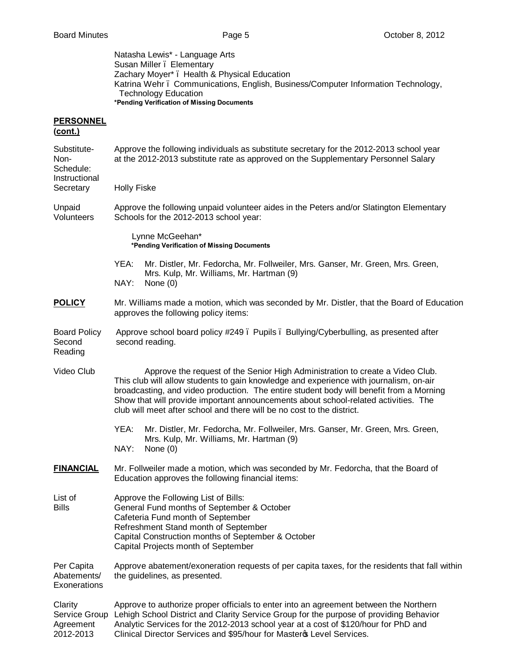Natasha Lewis\* - Language Arts Susan Miller . Elementary Zachary Moyer\* – Health & Physical Education Katrina Wehr – Communications, English, Business/Computer Information Technology, Technology Education **\*Pending Verification of Missing Documents PERSONNEL (cont.)** Substitute- Approve the following individuals as substitute secretary for the 2012-2013 school year Non- at the 2012-2013 substitute rate as approved on the Supplementary Personnel Salary Schedule: **Instructional** Secretary Holly Fiske Unpaid Approve the following unpaid volunteer aides in the Peters and/or Slatington Elementary<br>Volunteers Schools for the 2012-2013 school year: Schools for the 2012-2013 school year: Lynne McGeehan\* **\*Pending Verification of Missing Documents** YEA: Mr. Distler, Mr. Fedorcha, Mr. Follweiler, Mrs. Ganser, Mr. Green, Mrs. Green, Mrs. Kulp, Mr. Williams, Mr. Hartman (9) NAY: None (0) **POLICY** Mr. Williams made a motion, which was seconded by Mr. Distler, that the Board of Education approves the following policy items: Board Policy Approve school board policy #249 . Pupils . Bullying/Cyberbulling, as presented after Second second reading. Reading Video Club Approve the request of the Senior High Administration to create a Video Club. This club will allow students to gain knowledge and experience with journalism, on-air broadcasting, and video production. The entire student body will benefit from a Morning Show that will provide important announcements about school-related activities. The club will meet after school and there will be no cost to the district. YEA: Mr. Distler, Mr. Fedorcha, Mr. Follweiler, Mrs. Ganser, Mr. Green, Mrs. Green, Mrs. Kulp, Mr. Williams, Mr. Hartman (9) NAY: None (0) **FINANCIAL** Mr. Follweiler made a motion, which was seconded by Mr. Fedorcha, that the Board of Education approves the following financial items: List of **Approve the Following List of Bills:** Bills General Fund months of September & October Cafeteria Fund month of September Refreshment Stand month of September Capital Construction months of September & October Capital Projects month of September Per Capita Approve abatement/exoneration requests of per capita taxes, for the residents that fall within Abatements/ the guidelines, as presented. **Exonerations** Clarity Approve to authorize proper officials to enter into an agreement between the Northern Service Group Lehigh School District and Clarity Service Group for the purpose of providing Behavior Agreement Analytic Services for the 2012-2013 school year at a cost of \$120/hour for PhD and

2012-2013 Clinical Director Services and \$95/hour for Master & Level Services.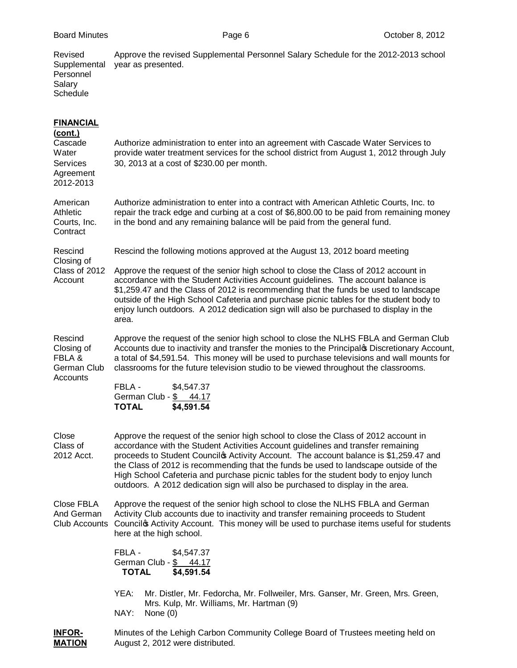|  |  | Board Minutes |
|--|--|---------------|
|--|--|---------------|

| Revised<br>Supplemental<br>Personnel<br>Salary<br>Schedule                                          | Approve the revised Supplemental Personnel Salary Schedule for the 2012-2013 school<br>year as presented.                                                                                                                                                                                                                                                                                                                                                                                                                           |  |  |  |  |
|-----------------------------------------------------------------------------------------------------|-------------------------------------------------------------------------------------------------------------------------------------------------------------------------------------------------------------------------------------------------------------------------------------------------------------------------------------------------------------------------------------------------------------------------------------------------------------------------------------------------------------------------------------|--|--|--|--|
| <b>FINANCIAL</b><br><u>(cont.)</u><br>Cascade<br>Water<br><b>Services</b><br>Agreement<br>2012-2013 | Authorize administration to enter into an agreement with Cascade Water Services to<br>provide water treatment services for the school district from August 1, 2012 through July<br>30, 2013 at a cost of \$230.00 per month.                                                                                                                                                                                                                                                                                                        |  |  |  |  |
| American<br>Athletic<br>Courts, Inc.<br>Contract                                                    | Authorize administration to enter into a contract with American Athletic Courts, Inc. to<br>repair the track edge and curbing at a cost of \$6,800.00 to be paid from remaining money<br>in the bond and any remaining balance will be paid from the general fund.                                                                                                                                                                                                                                                                  |  |  |  |  |
| Rescind<br>Closing of                                                                               | Rescind the following motions approved at the August 13, 2012 board meeting                                                                                                                                                                                                                                                                                                                                                                                                                                                         |  |  |  |  |
| Class of 2012<br>Account                                                                            | Approve the request of the senior high school to close the Class of 2012 account in<br>accordance with the Student Activities Account guidelines. The account balance is<br>\$1,259.47 and the Class of 2012 is recommending that the funds be used to landscape<br>outside of the High School Cafeteria and purchase picnic tables for the student body to<br>enjoy lunch outdoors. A 2012 dedication sign will also be purchased to display in the<br>area.                                                                       |  |  |  |  |
| Rescind<br>Closing of<br>FBLA &<br>German Club                                                      | Approve the request of the senior high school to close the NLHS FBLA and German Club<br>Accounts due to inactivity and transfer the monies to the Principalo Discretionary Account,<br>a total of \$4,591.54. This money will be used to purchase televisions and wall mounts for<br>classrooms for the future television studio to be viewed throughout the classrooms.                                                                                                                                                            |  |  |  |  |
| Accounts                                                                                            | FBLA -<br>\$4,547.37<br>German Club - \$44.17<br><b>TOTAL</b><br>\$4,591.54                                                                                                                                                                                                                                                                                                                                                                                                                                                         |  |  |  |  |
| Close<br>Class of<br>2012 Acct.                                                                     | Approve the request of the senior high school to close the Class of 2012 account in<br>accordance with the Student Activities Account guidelines and transfer remaining<br>proceeds to Student Councilos Activity Account. The account balance is \$1,259.47 and<br>the Class of 2012 is recommending that the funds be used to landscape outside of the<br>High School Cafeteria and purchase picnic tables for the student body to enjoy lunch<br>outdoors. A 2012 dedication sign will also be purchased to display in the area. |  |  |  |  |
| Close FBLA<br>And German<br>Club Accounts                                                           | Approve the request of the senior high school to close the NLHS FBLA and German<br>Activity Club accounts due to inactivity and transfer remaining proceeds to Student<br>Councilos Activity Account. This money will be used to purchase items useful for students<br>here at the high school.                                                                                                                                                                                                                                     |  |  |  |  |
|                                                                                                     | FBLA -<br>\$4,547.37<br>German Club - \$44.17<br><b>TOTAL</b><br>\$4,591.54                                                                                                                                                                                                                                                                                                                                                                                                                                                         |  |  |  |  |
|                                                                                                     | YEA:<br>Mr. Distler, Mr. Fedorcha, Mr. Follweiler, Mrs. Ganser, Mr. Green, Mrs. Green,<br>Mrs. Kulp, Mr. Williams, Mr. Hartman (9)<br>NAY:<br>None $(0)$                                                                                                                                                                                                                                                                                                                                                                            |  |  |  |  |



**INFOR-** Minutes of the Lehigh Carbon Community College Board of Trustees meeting held on **MATION** August 2, 2012 were distributed.